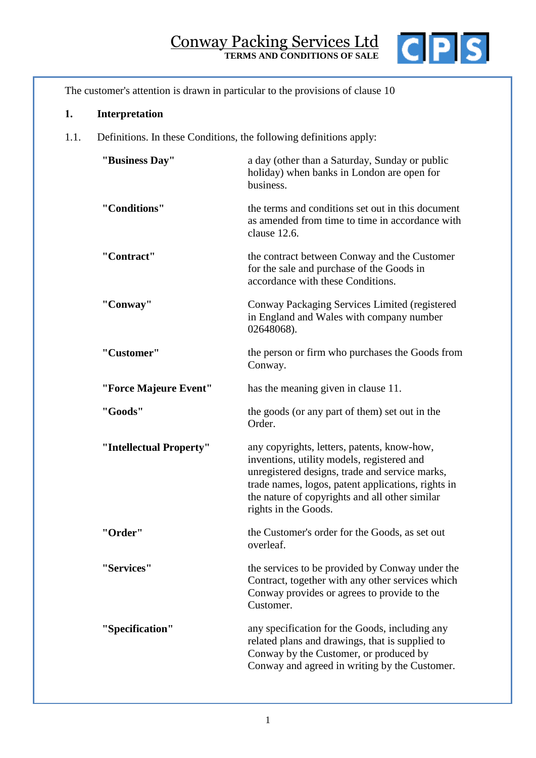

The customer's attention is drawn in particular to the provisions of clause [10](#page-8-0)

# **1. Interpretation**

1.1. Definitions. In these Conditions, the following definitions apply:

| "Business Day"          | a day (other than a Saturday, Sunday or public<br>holiday) when banks in London are open for<br>business.                                                                                                                                                                   |
|-------------------------|-----------------------------------------------------------------------------------------------------------------------------------------------------------------------------------------------------------------------------------------------------------------------------|
| "Conditions"            | the terms and conditions set out in this document<br>as amended from time to time in accordance with<br>clause 12.6.                                                                                                                                                        |
| "Contract"              | the contract between Conway and the Customer<br>for the sale and purchase of the Goods in<br>accordance with these Conditions.                                                                                                                                              |
| "Conway"                | Conway Packaging Services Limited (registered<br>in England and Wales with company number<br>02648068).                                                                                                                                                                     |
| "Customer"              | the person or firm who purchases the Goods from<br>Conway.                                                                                                                                                                                                                  |
| "Force Majeure Event"   | has the meaning given in clause 11.                                                                                                                                                                                                                                         |
| "Goods"                 | the goods (or any part of them) set out in the<br>Order.                                                                                                                                                                                                                    |
| "Intellectual Property" | any copyrights, letters, patents, know-how,<br>inventions, utility models, registered and<br>unregistered designs, trade and service marks,<br>trade names, logos, patent applications, rights in<br>the nature of copyrights and all other similar<br>rights in the Goods. |
| "Order"                 | the Customer's order for the Goods, as set out<br>overleaf.                                                                                                                                                                                                                 |
| "Services"              | the services to be provided by Conway under the<br>Contract, together with any other services which<br>Conway provides or agrees to provide to the<br>Customer.                                                                                                             |
| "Specification"         | any specification for the Goods, including any<br>related plans and drawings, that is supplied to<br>Conway by the Customer, or produced by<br>Conway and agreed in writing by the Customer.                                                                                |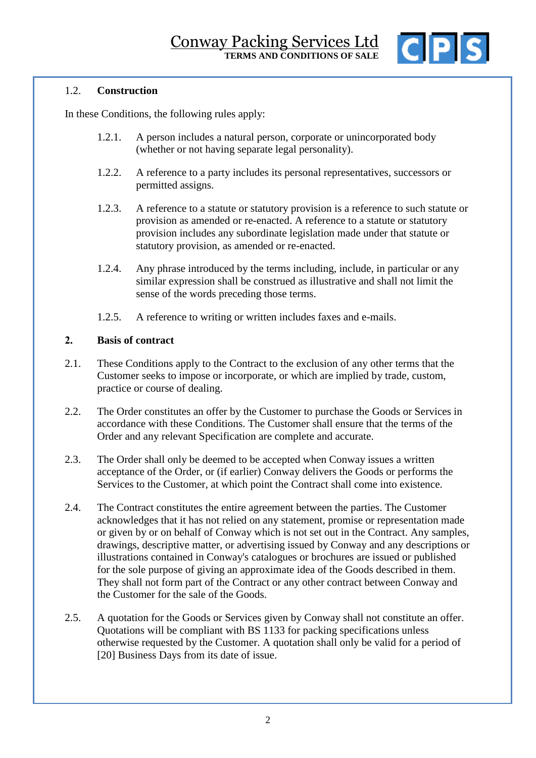

## 1.2. **Construction**

In these Conditions, the following rules apply:

- 1.2.1. A person includes a natural person, corporate or unincorporated body (whether or not having separate legal personality).
- 1.2.2. A reference to a party includes its personal representatives, successors or permitted assigns.
- 1.2.3. A reference to a statute or statutory provision is a reference to such statute or provision as amended or re-enacted. A reference to a statute or statutory provision includes any subordinate legislation made under that statute or statutory provision, as amended or re-enacted.
- 1.2.4. Any phrase introduced by the terms including, include, in particular or any similar expression shall be construed as illustrative and shall not limit the sense of the words preceding those terms.
- 1.2.5. A reference to writing or written includes faxes and e-mails.

### **2. Basis of contract**

- 2.1. These Conditions apply to the Contract to the exclusion of any other terms that the Customer seeks to impose or incorporate, or which are implied by trade, custom, practice or course of dealing.
- 2.2. The Order constitutes an offer by the Customer to purchase the Goods or Services in accordance with these Conditions. The Customer shall ensure that the terms of the Order and any relevant Specification are complete and accurate.
- 2.3. The Order shall only be deemed to be accepted when Conway issues a written acceptance of the Order, or (if earlier) Conway delivers the Goods or performs the Services to the Customer, at which point the Contract shall come into existence.
- 2.4. The Contract constitutes the entire agreement between the parties. The Customer acknowledges that it has not relied on any statement, promise or representation made or given by or on behalf of Conway which is not set out in the Contract. Any samples, drawings, descriptive matter, or advertising issued by Conway and any descriptions or illustrations contained in Conway's catalogues or brochures are issued or published for the sole purpose of giving an approximate idea of the Goods described in them. They shall not form part of the Contract or any other contract between Conway and the Customer for the sale of the Goods.
- 2.5. A quotation for the Goods or Services given by Conway shall not constitute an offer. Quotations will be compliant with BS 1133 for packing specifications unless otherwise requested by the Customer. A quotation shall only be valid for a period of [20] Business Days from its date of issue.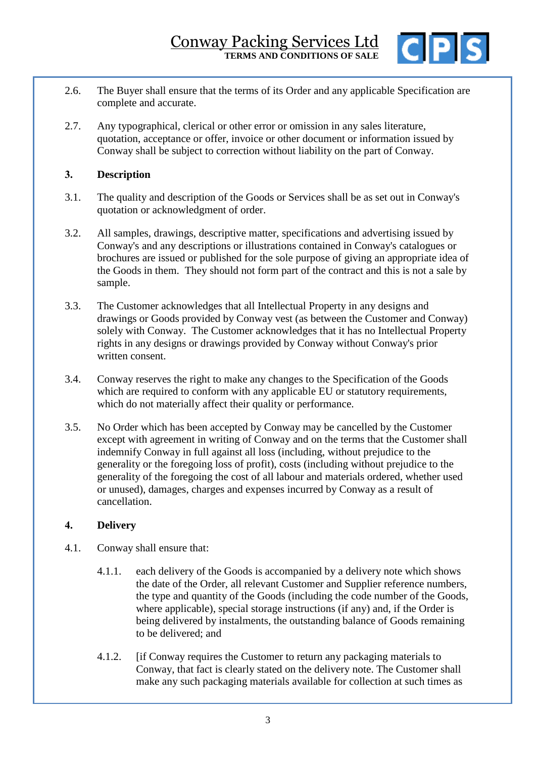

- 2.6. The Buyer shall ensure that the terms of its Order and any applicable Specification are complete and accurate.
- 2.7. Any typographical, clerical or other error or omission in any sales literature, quotation, acceptance or offer, invoice or other document or information issued by Conway shall be subject to correction without liability on the part of Conway.

# **3. Description**

- 3.1. The quality and description of the Goods or Services shall be as set out in Conway's quotation or acknowledgment of order.
- 3.2. All samples, drawings, descriptive matter, specifications and advertising issued by Conway's and any descriptions or illustrations contained in Conway's catalogues or brochures are issued or published for the sole purpose of giving an appropriate idea of the Goods in them. They should not form part of the contract and this is not a sale by sample.
- 3.3. The Customer acknowledges that all Intellectual Property in any designs and drawings or Goods provided by Conway vest (as between the Customer and Conway) solely with Conway. The Customer acknowledges that it has no Intellectual Property rights in any designs or drawings provided by Conway without Conway's prior written consent.
- 3.4. Conway reserves the right to make any changes to the Specification of the Goods which are required to conform with any applicable EU or statutory requirements, which do not materially affect their quality or performance.
- 3.5. No Order which has been accepted by Conway may be cancelled by the Customer except with agreement in writing of Conway and on the terms that the Customer shall indemnify Conway in full against all loss (including, without prejudice to the generality or the foregoing loss of profit), costs (including without prejudice to the generality of the foregoing the cost of all labour and materials ordered, whether used or unused), damages, charges and expenses incurred by Conway as a result of cancellation.

## **4. Delivery**

- 4.1. Conway shall ensure that:
	- 4.1.1. each delivery of the Goods is accompanied by a delivery note which shows the date of the Order, all relevant Customer and Supplier reference numbers, the type and quantity of the Goods (including the code number of the Goods, where applicable), special storage instructions (if any) and, if the Order is being delivered by instalments, the outstanding balance of Goods remaining to be delivered; and
	- 4.1.2. [if Conway requires the Customer to return any packaging materials to Conway, that fact is clearly stated on the delivery note. The Customer shall make any such packaging materials available for collection at such times as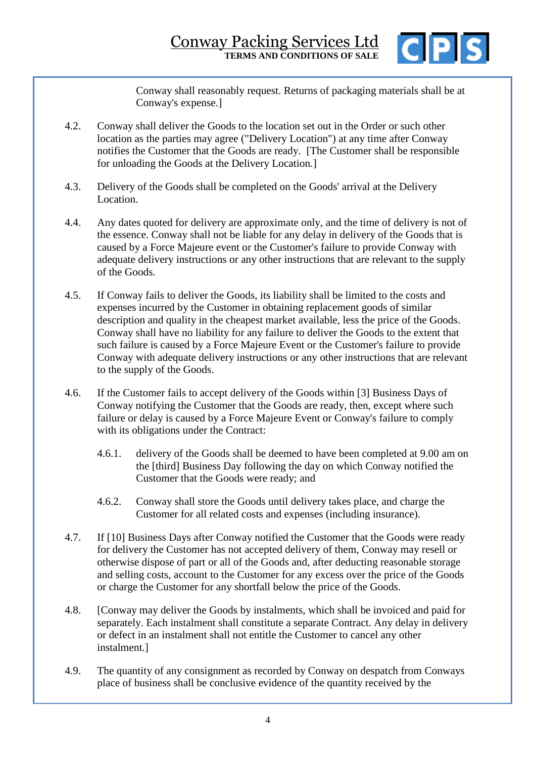

Conway shall reasonably request. Returns of packaging materials shall be at Conway's expense.]

- 4.2. Conway shall deliver the Goods to the location set out in the Order or such other location as the parties may agree ("Delivery Location") at any time after Conway notifies the Customer that the Goods are ready. [The Customer shall be responsible for unloading the Goods at the Delivery Location.]
- 4.3. Delivery of the Goods shall be completed on the Goods' arrival at the Delivery Location.
- 4.4. Any dates quoted for delivery are approximate only, and the time of delivery is not of the essence. Conway shall not be liable for any delay in delivery of the Goods that is caused by a Force Majeure event or the Customer's failure to provide Conway with adequate delivery instructions or any other instructions that are relevant to the supply of the Goods.
- 4.5. If Conway fails to deliver the Goods, its liability shall be limited to the costs and expenses incurred by the Customer in obtaining replacement goods of similar description and quality in the cheapest market available, less the price of the Goods. Conway shall have no liability for any failure to deliver the Goods to the extent that such failure is caused by a Force Majeure Event or the Customer's failure to provide Conway with adequate delivery instructions or any other instructions that are relevant to the supply of the Goods.
- 4.6. If the Customer fails to accept delivery of the Goods within [3] Business Days of Conway notifying the Customer that the Goods are ready, then, except where such failure or delay is caused by a Force Majeure Event or Conway's failure to comply with its obligations under the Contract:
	- 4.6.1. delivery of the Goods shall be deemed to have been completed at 9.00 am on the [third] Business Day following the day on which Conway notified the Customer that the Goods were ready; and
	- 4.6.2. Conway shall store the Goods until delivery takes place, and charge the Customer for all related costs and expenses (including insurance).
- 4.7. If [10] Business Days after Conway notified the Customer that the Goods were ready for delivery the Customer has not accepted delivery of them, Conway may resell or otherwise dispose of part or all of the Goods and, after deducting reasonable storage and selling costs, account to the Customer for any excess over the price of the Goods or charge the Customer for any shortfall below the price of the Goods.
- 4.8. [Conway may deliver the Goods by instalments, which shall be invoiced and paid for separately. Each instalment shall constitute a separate Contract. Any delay in delivery or defect in an instalment shall not entitle the Customer to cancel any other instalment.]
- 4.9. The quantity of any consignment as recorded by Conway on despatch from Conways place of business shall be conclusive evidence of the quantity received by the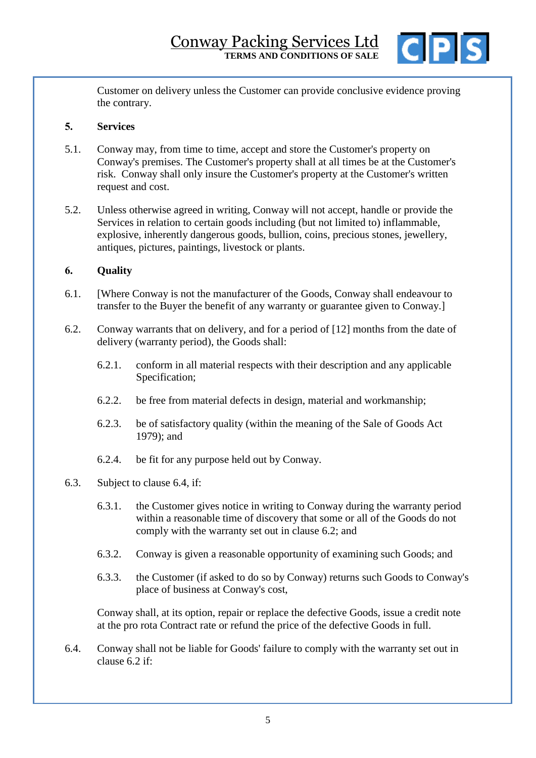

Customer on delivery unless the Customer can provide conclusive evidence proving the contrary.

# **5. Services**

- 5.1. Conway may, from time to time, accept and store the Customer's property on Conway's premises. The Customer's property shall at all times be at the Customer's risk. Conway shall only insure the Customer's property at the Customer's written request and cost.
- <span id="page-4-4"></span>5.2. Unless otherwise agreed in writing, Conway will not accept, handle or provide the Services in relation to certain goods including (but not limited to) inflammable, explosive, inherently dangerous goods, bullion, coins, precious stones, jewellery, antiques, pictures, paintings, livestock or plants.

# <span id="page-4-3"></span>**6. Quality**

- 6.1. [Where Conway is not the manufacturer of the Goods, Conway shall endeavour to transfer to the Buyer the benefit of any warranty or guarantee given to Conway.]
- <span id="page-4-1"></span>6.2. Conway warrants that on delivery, and for a period of [12] months from the date of delivery (warranty period), the Goods shall:
	- 6.2.1. conform in all material respects with their description and any applicable Specification;
	- 6.2.2. be free from material defects in design, material and workmanship;
	- 6.2.3. be of satisfactory quality (within the meaning of the Sale of Goods Act 1979); and
	- 6.2.4. be fit for any purpose held out by Conway.
- <span id="page-4-2"></span>6.3. Subject to clause [6.4,](#page-4-0) if:
	- 6.3.1. the Customer gives notice in writing to Conway during the warranty period within a reasonable time of discovery that some or all of the Goods do not comply with the warranty set out in clause [6.2;](#page-4-1) and
	- 6.3.2. Conway is given a reasonable opportunity of examining such Goods; and
	- 6.3.3. the Customer (if asked to do so by Conway) returns such Goods to Conway's place of business at Conway's cost,

Conway shall, at its option, repair or replace the defective Goods, issue a credit note at the pro rota Contract rate or refund the price of the defective Goods in full.

<span id="page-4-0"></span>6.4. Conway shall not be liable for Goods' failure to comply with the warranty set out in clause [6.2](#page-4-1) if: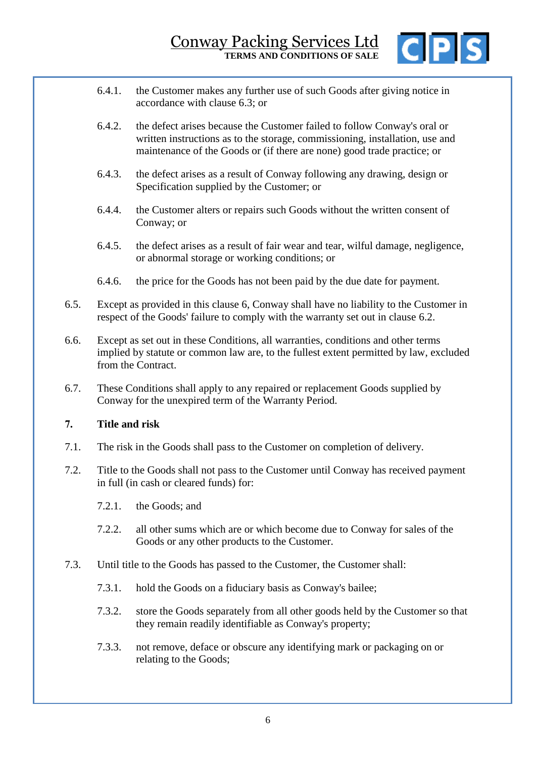

- 6.4.1. the Customer makes any further use of such Goods after giving notice in accordance with clause [6.3;](#page-4-2) or
- 6.4.2. the defect arises because the Customer failed to follow Conway's oral or written instructions as to the storage, commissioning, installation, use and maintenance of the Goods or (if there are none) good trade practice; or
- 6.4.3. the defect arises as a result of Conway following any drawing, design or Specification supplied by the Customer; or
- 6.4.4. the Customer alters or repairs such Goods without the written consent of Conway; or
- 6.4.5. the defect arises as a result of fair wear and tear, wilful damage, negligence, or abnormal storage or working conditions; or
- 6.4.6. the price for the Goods has not been paid by the due date for payment.
- 6.5. Except as provided in this clause [6,](#page-4-3) Conway shall have no liability to the Customer in respect of the Goods' failure to comply with the warranty set out in clause [6.2.](#page-4-1)
- 6.6. Except as set out in these Conditions, all warranties, conditions and other terms implied by statute or common law are, to the fullest extent permitted by law, excluded from the Contract.
- 6.7. These Conditions shall apply to any repaired or replacement Goods supplied by Conway for the unexpired term of the Warranty Period.

## **7. Title and risk**

- 7.1. The risk in the Goods shall pass to the Customer on completion of delivery.
- 7.2. Title to the Goods shall not pass to the Customer until Conway has received payment in full (in cash or cleared funds) for:
	- 7.2.1. the Goods; and
	- 7.2.2. all other sums which are or which become due to Conway for sales of the Goods or any other products to the Customer.
- 7.3. Until title to the Goods has passed to the Customer, the Customer shall:
	- 7.3.1. hold the Goods on a fiduciary basis as Conway's bailee;
	- 7.3.2. store the Goods separately from all other goods held by the Customer so that they remain readily identifiable as Conway's property;
	- 7.3.3. not remove, deface or obscure any identifying mark or packaging on or relating to the Goods;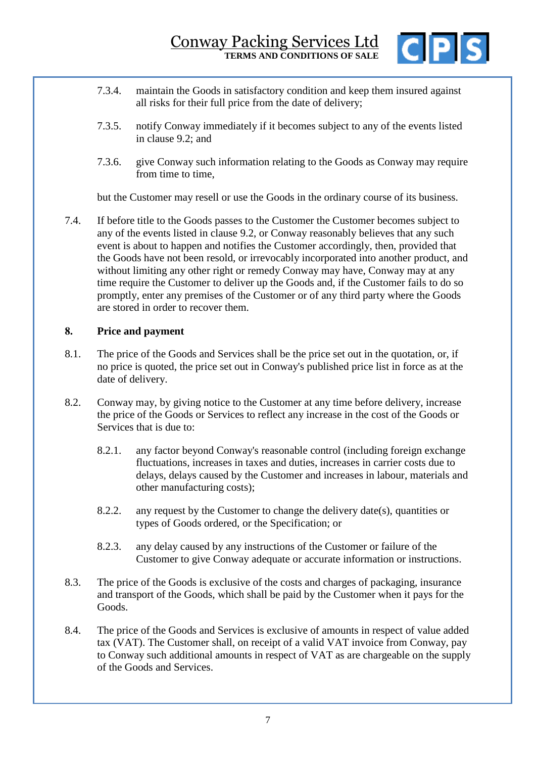

- 7.3.4. maintain the Goods in satisfactory condition and keep them insured against all risks for their full price from the date of delivery;
- 7.3.5. notify Conway immediately if it becomes subject to any of the events listed in clause [9.2;](#page-7-0) and
- 7.3.6. give Conway such information relating to the Goods as Conway may require from time to time.

but the Customer may resell or use the Goods in the ordinary course of its business.

7.4. If before title to the Goods passes to the Customer the Customer becomes subject to any of the events listed in clause [9.2,](#page-7-0) or Conway reasonably believes that any such event is about to happen and notifies the Customer accordingly, then, provided that the Goods have not been resold, or irrevocably incorporated into another product, and without limiting any other right or remedy Conway may have, Conway may at any time require the Customer to deliver up the Goods and, if the Customer fails to do so promptly, enter any premises of the Customer or of any third party where the Goods are stored in order to recover them.

### **8. Price and payment**

- 8.1. The price of the Goods and Services shall be the price set out in the quotation, or, if no price is quoted, the price set out in Conway's published price list in force as at the date of delivery.
- 8.2. Conway may, by giving notice to the Customer at any time before delivery, increase the price of the Goods or Services to reflect any increase in the cost of the Goods or Services that is due to:
	- 8.2.1. any factor beyond Conway's reasonable control (including foreign exchange fluctuations, increases in taxes and duties, increases in carrier costs due to delays, delays caused by the Customer and increases in labour, materials and other manufacturing costs);
	- 8.2.2. any request by the Customer to change the delivery date(s), quantities or types of Goods ordered, or the Specification; or
	- 8.2.3. any delay caused by any instructions of the Customer or failure of the Customer to give Conway adequate or accurate information or instructions.
- 8.3. The price of the Goods is exclusive of the costs and charges of packaging, insurance and transport of the Goods, which shall be paid by the Customer when it pays for the Goods.
- 8.4. The price of the Goods and Services is exclusive of amounts in respect of value added tax (VAT). The Customer shall, on receipt of a valid VAT invoice from Conway, pay to Conway such additional amounts in respect of VAT as are chargeable on the supply of the Goods and Services.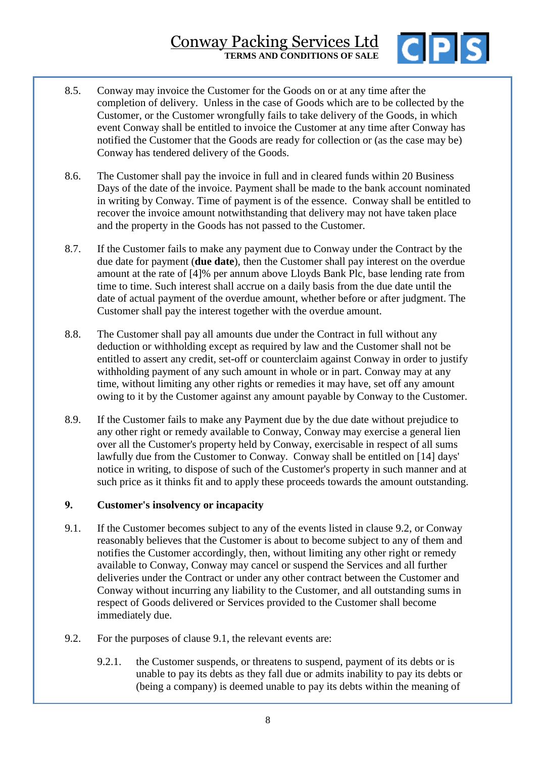# Conway Packing Services Ltd **TERMS AND CONDITIONS OF SALE**



- 8.5. Conway may invoice the Customer for the Goods on or at any time after the completion of delivery. Unless in the case of Goods which are to be collected by the Customer, or the Customer wrongfully fails to take delivery of the Goods, in which event Conway shall be entitled to invoice the Customer at any time after Conway has notified the Customer that the Goods are ready for collection or (as the case may be) Conway has tendered delivery of the Goods.
- 8.6. The Customer shall pay the invoice in full and in cleared funds within 20 Business Days of the date of the invoice. Payment shall be made to the bank account nominated in writing by Conway. Time of payment is of the essence. Conway shall be entitled to recover the invoice amount notwithstanding that delivery may not have taken place and the property in the Goods has not passed to the Customer.
- 8.7. If the Customer fails to make any payment due to Conway under the Contract by the due date for payment (**due date**), then the Customer shall pay interest on the overdue amount at the rate of [4]% per annum above Lloyds Bank Plc, base lending rate from time to time. Such interest shall accrue on a daily basis from the due date until the date of actual payment of the overdue amount, whether before or after judgment. The Customer shall pay the interest together with the overdue amount.
- 8.8. The Customer shall pay all amounts due under the Contract in full without any deduction or withholding except as required by law and the Customer shall not be entitled to assert any credit, set-off or counterclaim against Conway in order to justify withholding payment of any such amount in whole or in part. Conway may at any time, without limiting any other rights or remedies it may have, set off any amount owing to it by the Customer against any amount payable by Conway to the Customer.
- 8.9. If the Customer fails to make any Payment due by the due date without prejudice to any other right or remedy available to Conway, Conway may exercise a general lien over all the Customer's property held by Conway, exercisable in respect of all sums lawfully due from the Customer to Conway. Conway shall be entitled on [14] days' notice in writing, to dispose of such of the Customer's property in such manner and at such price as it thinks fit and to apply these proceeds towards the amount outstanding.

## **9. Customer's insolvency or incapacity**

- <span id="page-7-1"></span>9.1. If the Customer becomes subject to any of the events listed in clause [9.2,](#page-7-0) or Conway reasonably believes that the Customer is about to become subject to any of them and notifies the Customer accordingly, then, without limiting any other right or remedy available to Conway, Conway may cancel or suspend the Services and all further deliveries under the Contract or under any other contract between the Customer and Conway without incurring any liability to the Customer, and all outstanding sums in respect of Goods delivered or Services provided to the Customer shall become immediately due.
- <span id="page-7-2"></span><span id="page-7-0"></span>9.2. For the purposes of clause [9.1,](#page-7-1) the relevant events are:
	- 9.2.1. the Customer suspends, or threatens to suspend, payment of its debts or is unable to pay its debts as they fall due or admits inability to pay its debts or (being a company) is deemed unable to pay its debts within the meaning of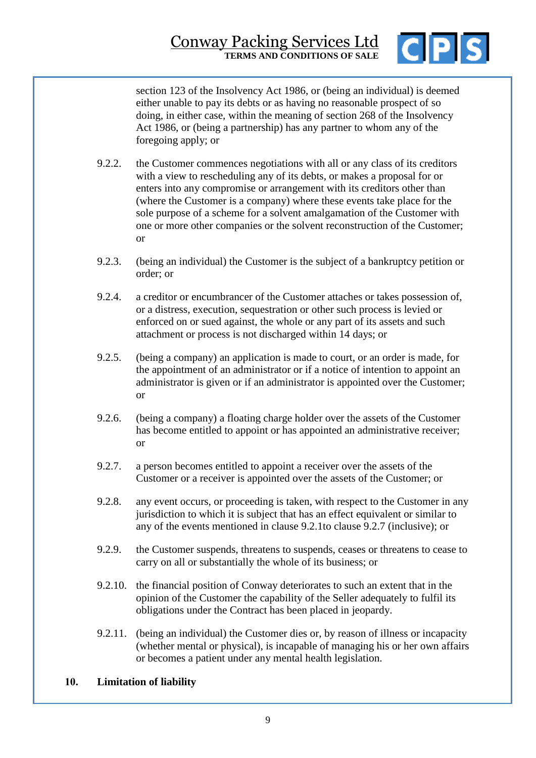

section 123 of the Insolvency Act 1986, or (being an individual) is deemed either unable to pay its debts or as having no reasonable prospect of so doing, in either case, within the meaning of section 268 of the Insolvency Act 1986, or (being a partnership) has any partner to whom any of the foregoing apply; or

- 9.2.2. the Customer commences negotiations with all or any class of its creditors with a view to rescheduling any of its debts, or makes a proposal for or enters into any compromise or arrangement with its creditors other than (where the Customer is a company) where these events take place for the sole purpose of a scheme for a solvent amalgamation of the Customer with one or more other companies or the solvent reconstruction of the Customer; or
- 9.2.3. (being an individual) the Customer is the subject of a bankruptcy petition or order; or
- 9.2.4. a creditor or encumbrancer of the Customer attaches or takes possession of, or a distress, execution, sequestration or other such process is levied or enforced on or sued against, the whole or any part of its assets and such attachment or process is not discharged within 14 days; or
- 9.2.5. (being a company) an application is made to court, or an order is made, for the appointment of an administrator or if a notice of intention to appoint an administrator is given or if an administrator is appointed over the Customer; or
- 9.2.6. (being a company) a floating charge holder over the assets of the Customer has become entitled to appoint or has appointed an administrative receiver; or
- <span id="page-8-1"></span>9.2.7. a person becomes entitled to appoint a receiver over the assets of the Customer or a receiver is appointed over the assets of the Customer; or
- 9.2.8. any event occurs, or proceeding is taken, with respect to the Customer in any jurisdiction to which it is subject that has an effect equivalent or similar to any of the events mentioned in clause [9.2.1t](#page-7-2)o clause [9.2.7](#page-8-1) (inclusive); or
- 9.2.9. the Customer suspends, threatens to suspends, ceases or threatens to cease to carry on all or substantially the whole of its business; or
- 9.2.10. the financial position of Conway deteriorates to such an extent that in the opinion of the Customer the capability of the Seller adequately to fulfil its obligations under the Contract has been placed in jeopardy.
- 9.2.11. (being an individual) the Customer dies or, by reason of illness or incapacity (whether mental or physical), is incapable of managing his or her own affairs or becomes a patient under any mental health legislation.

## <span id="page-8-0"></span>**10. Limitation of liability**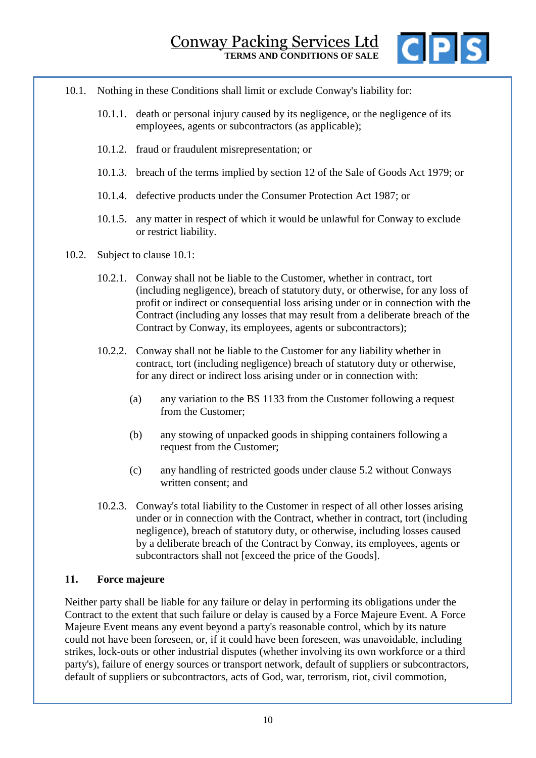

- <span id="page-9-1"></span>10.1. Nothing in these Conditions shall limit or exclude Conway's liability for:
	- 10.1.1. death or personal injury caused by its negligence, or the negligence of its employees, agents or subcontractors (as applicable);
	- 10.1.2. fraud or fraudulent misrepresentation; or
	- 10.1.3. breach of the terms implied by section 12 of the Sale of Goods Act 1979; or
	- 10.1.4. defective products under the Consumer Protection Act 1987; or
	- 10.1.5. any matter in respect of which it would be unlawful for Conway to exclude or restrict liability.
- 10.2. Subject to clause [10.1:](#page-9-1)
	- 10.2.1. Conway shall not be liable to the Customer, whether in contract, tort (including negligence), breach of statutory duty, or otherwise, for any loss of profit or indirect or consequential loss arising under or in connection with the Contract (including any losses that may result from a deliberate breach of the Contract by Conway, its employees, agents or subcontractors);
	- 10.2.2. Conway shall not be liable to the Customer for any liability whether in contract, tort (including negligence) breach of statutory duty or otherwise, for any direct or indirect loss arising under or in connection with:
		- (a) any variation to the BS 1133 from the Customer following a request from the Customer;
		- (b) any stowing of unpacked goods in shipping containers following a request from the Customer;
		- (c) any handling of restricted goods under clause [5.2](#page-4-4) without Conways written consent; and
	- 10.2.3. Conway's total liability to the Customer in respect of all other losses arising under or in connection with the Contract, whether in contract, tort (including negligence), breach of statutory duty, or otherwise, including losses caused by a deliberate breach of the Contract by Conway, its employees, agents or subcontractors shall not [exceed the price of the Goods].

#### <span id="page-9-0"></span>**11. Force majeure**

Neither party shall be liable for any failure or delay in performing its obligations under the Contract to the extent that such failure or delay is caused by a Force Majeure Event. A Force Majeure Event means any event beyond a party's reasonable control, which by its nature could not have been foreseen, or, if it could have been foreseen, was unavoidable, including strikes, lock-outs or other industrial disputes (whether involving its own workforce or a third party's), failure of energy sources or transport network, default of suppliers or subcontractors, default of suppliers or subcontractors, acts of God, war, terrorism, riot, civil commotion,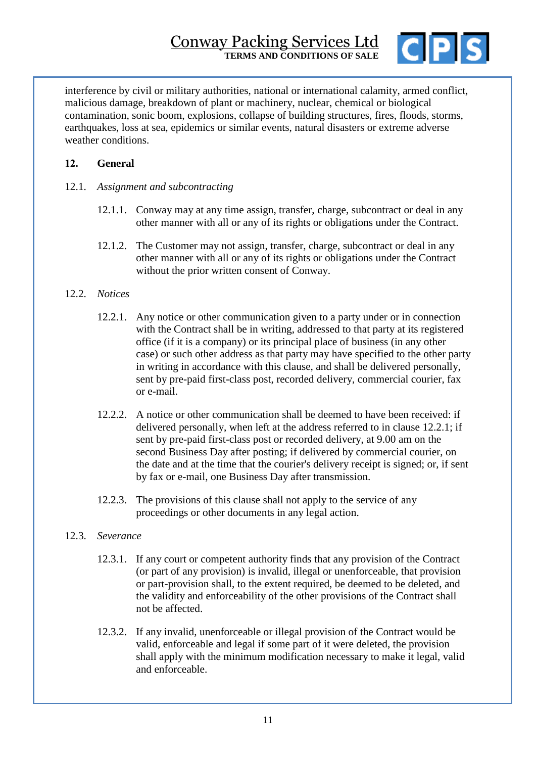

interference by civil or military authorities, national or international calamity, armed conflict, malicious damage, breakdown of plant or machinery, nuclear, chemical or biological contamination, sonic boom, explosions, collapse of building structures, fires, floods, storms, earthquakes, loss at sea, epidemics or similar events, natural disasters or extreme adverse weather conditions.

# **12. General**

- 12.1. *Assignment and subcontracting*
	- 12.1.1. Conway may at any time assign, transfer, charge, subcontract or deal in any other manner with all or any of its rights or obligations under the Contract.
	- 12.1.2. The Customer may not assign, transfer, charge, subcontract or deal in any other manner with all or any of its rights or obligations under the Contract without the prior written consent of Conway.

### <span id="page-10-0"></span>12.2. *Notices*

- 12.2.1. Any notice or other communication given to a party under or in connection with the Contract shall be in writing, addressed to that party at its registered office (if it is a company) or its principal place of business (in any other case) or such other address as that party may have specified to the other party in writing in accordance with this clause, and shall be delivered personally, sent by pre-paid first-class post, recorded delivery, commercial courier, fax or e-mail.
- 12.2.2. A notice or other communication shall be deemed to have been received: if delivered personally, when left at the address referred to in clause [12.2.1;](#page-10-0) if sent by pre-paid first-class post or recorded delivery, at 9.00 am on the second Business Day after posting; if delivered by commercial courier, on the date and at the time that the courier's delivery receipt is signed; or, if sent by fax or e-mail, one Business Day after transmission.
- 12.2.3. The provisions of this clause shall not apply to the service of any proceedings or other documents in any legal action.

## 12.3. *Severance*

- 12.3.1. If any court or competent authority finds that any provision of the Contract (or part of any provision) is invalid, illegal or unenforceable, that provision or part-provision shall, to the extent required, be deemed to be deleted, and the validity and enforceability of the other provisions of the Contract shall not be affected.
- 12.3.2. If any invalid, unenforceable or illegal provision of the Contract would be valid, enforceable and legal if some part of it were deleted, the provision shall apply with the minimum modification necessary to make it legal, valid and enforceable.